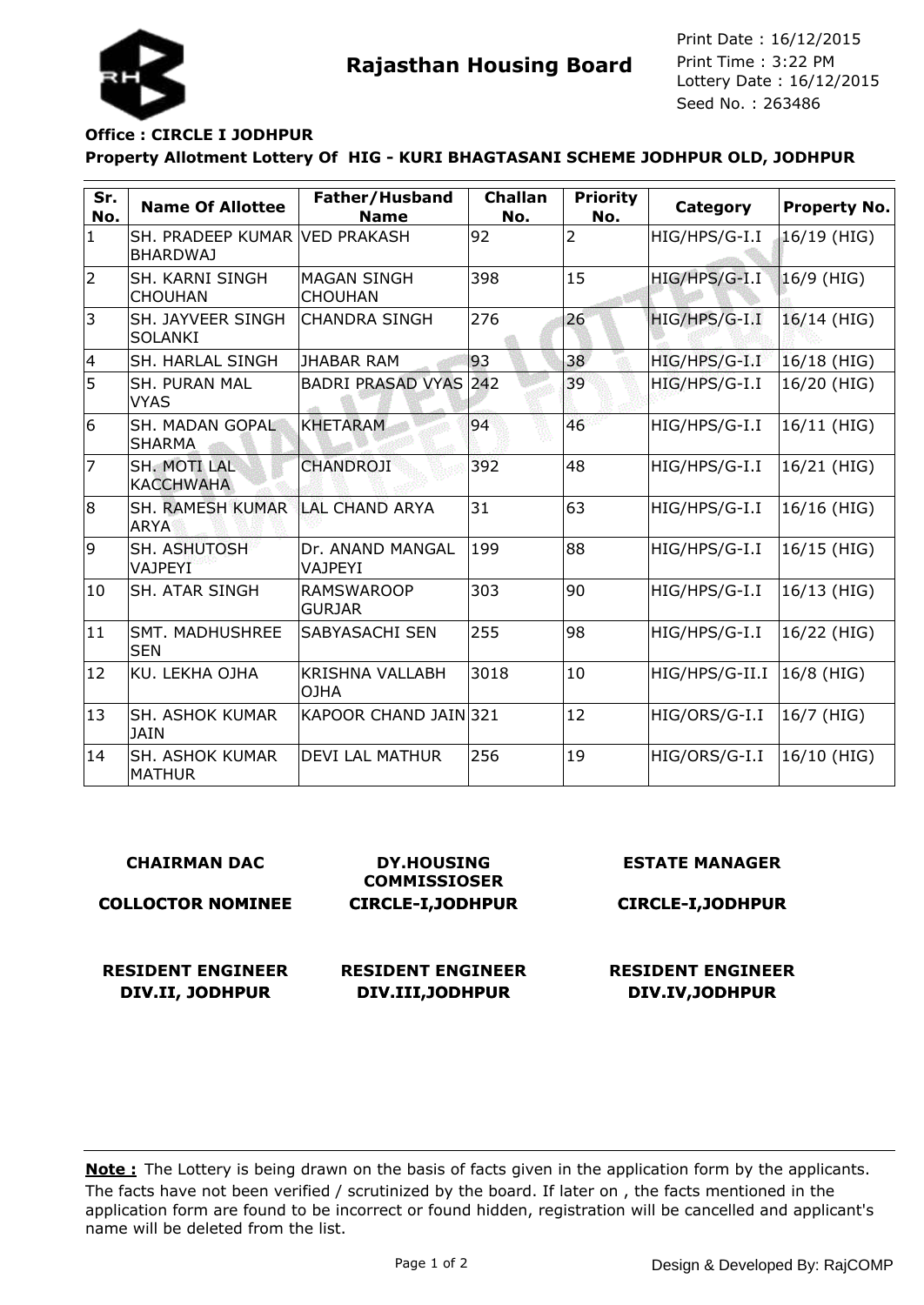

**Rajasthan Housing Board** Print Time : 3:22 PM<br>Lottery Date : 16/12/2015 Seed No. : 263486 Print Date : 16/12/2015 Print Time : 3:22 PM

### **Office : CIRCLE I JODHPUR**

### **Property Allotment Lottery Of HIG - KURI BHAGTASANI SCHEME JODHPUR OLD, JODHPUR**

| Sr.<br>No.     | <b>Name Of Allottee</b>                          | Father/Husband<br><b>Name</b>         | <b>Challan</b><br>No. | <b>Priority</b><br>No. | Category       | Property No. |
|----------------|--------------------------------------------------|---------------------------------------|-----------------------|------------------------|----------------|--------------|
| $\mathbf{1}$   | SH. PRADEEP KUMAR VED PRAKASH<br><b>BHARDWAJ</b> |                                       | 92                    | $\overline{2}$         | HIG/HPS/G-I.I  | 16/19 (HIG)  |
| $\overline{2}$ | <b>SH. KARNI SINGH</b><br><b>CHOUHAN</b>         | <b>MAGAN SINGH</b><br><b>CHOUHAN</b>  | 398                   | 15                     | HIG/HPS/G-I.I  | $16/9$ (HIG) |
| 3              | SH. JAYVEER SINGH<br><b>SOLANKI</b>              | <b>CHANDRA SINGH</b>                  | 276                   | 26                     | HIG/HPS/G-I.I  | 16/14 (HIG)  |
| 4              | SH. HARLAL SINGH                                 | <b>JHABAR RAM</b>                     | 93                    | 38                     | HIG/HPS/G-I.I  | 16/18 (HIG)  |
| 5              | <b>SH. PURAN MAL</b><br><b>VYAS</b>              | <b>BADRI PRASAD VYAS</b>              | 242                   | 39                     | HIG/HPS/G-I.I  | 16/20 (HIG)  |
| 6              | SH. MADAN GOPAL<br><b>SHARMA</b>                 | <b>KHETARAM</b>                       | 94                    | 46                     | HIG/HPS/G-I.I  | 16/11 (HIG)  |
| $\overline{7}$ | <b>SH. MOTI LAL</b><br><b>KACCHWAHA</b>          | <b>CHANDROJI</b>                      | 392                   | 48                     | HIG/HPS/G-I.I  | 16/21 (HIG)  |
| 8              | <b>SH. RAMESH KUMAR</b><br><b>ARYA</b>           | ILAL CHAND ARYA                       | 31                    | 63                     | HIG/HPS/G-I.I  | 16/16 (HIG)  |
| 9              | <b>SH. ASHUTOSH</b><br><b>VAJPEYI</b>            | Dr. ANAND MANGAL<br><b>VAJPEYI</b>    | 199                   | 88                     | HIG/HPS/G-I.I  | 16/15 (HIG)  |
| 10             | <b>SH. ATAR SINGH</b>                            | <b>RAMSWAROOP</b><br><b>GURJAR</b>    | 303                   | 90                     | HIG/HPS/G-I.I  | 16/13 (HIG)  |
| 11             | <b>SMT. MADHUSHREE</b><br><b>SEN</b>             | <b>SABYASACHI SEN</b>                 | 255                   | 98                     | HIG/HPS/G-I.I  | 16/22 (HIG)  |
| 12             | KU. LEKHA OJHA                                   | <b>KRISHNA VALLABH</b><br><b>OJHA</b> | 3018                  | 10                     | HIG/HPS/G-II.I | 16/8 (HIG)   |
| 13             | <b>SH. ASHOK KUMAR</b><br><b>JAIN</b>            | KAPOOR CHAND JAIN 321                 |                       | 12                     | HIG/ORS/G-I.I  | 16/7 (HIG)   |
| 14             | <b>SH. ASHOK KUMAR</b><br><b>MATHUR</b>          | <b>DEVI LAL MATHUR</b>                | 256                   | 19                     | HIG/ORS/G-I.I  | 16/10 (HIG)  |

#### **CHAIRMAN DAC**

#### **COLLOCTOR NOMINEE**

**DY.HOUSING COMMISSIOSER CIRCLE-I,JODHPUR**

#### **ESTATE MANAGER**

**RESIDENT ENGINEER DIV.II, JODHPUR**

**RESIDENT ENGINEER DIV.III,JODHPUR**

**CIRCLE-I,JODHPUR**

# **RESIDENT ENGINEER**

## **DIV.IV,JODHPUR**

The facts have not been verified / scrutinized by the board. If later on , the facts mentioned in the application form are found to be incorrect or found hidden, registration will be cancelled and applicant's name will be deleted from the list. **Note :** The Lottery is being drawn on the basis of facts given in the application form by the applicants.